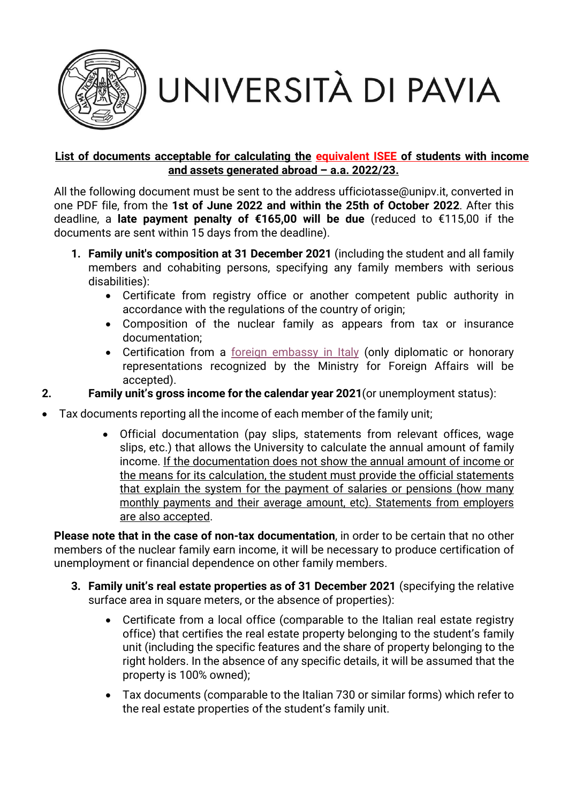

UNIVERSITÀ DI PAVIA

## **List of documents acceptable for calculating the equivalent ISEE of students with income and assets generated abroad – a.a. 2022/23.**

All the following document must be sent to the address ufficiotasse@unipv.it, converted in one PDF file, from the **1st of June 2022 and within the 25th of October 2022**. After this deadline, a **late payment penalty of €165,00 will be due** (reduced to €115,00 if the documents are sent within 15 days from the deadline).

- **1. Family unit's composition at 31 December 2021** (including the student and all family members and cohabiting persons, specifying any family members with serious disabilities):
	- Certificate from registry office or another competent public authority in accordance with the regulations of the country of origin;
	- Composition of the nuclear family as appears from tax or insurance documentation;
	- Certification from a [foreign embassy in Italy](https://www.esteri.it/wp-content/uploads/2022/03/LDA_04032022.pdf) (only diplomatic or honorary representations recognized by the Ministry for Foreign Affairs will be accepted).

**2. Family unit's gross income for the calendar year 2021**(or unemployment status):

- Tax documents reporting all the income of each member of the family unit;
	- Official documentation (pay slips, statements from relevant offices, wage slips, etc.) that allows the University to calculate the annual amount of family income. If the documentation does not show the annual amount of income or the means for its calculation, the student must provide the official statements that explain the system for the payment of salaries or pensions (how many monthly payments and their average amount, etc). Statements from employers are also accepted.

**Please note that in the case of non‐tax documentation**, in order to be certain that no other members of the nuclear family earn income, it will be necessary to produce certification of unemployment or financial dependence on other family members.

- **3. Family unit's real estate properties as of 31 December 2021** (specifying the relative surface area in square meters, or the absence of properties):
	- Certificate from a local office (comparable to the Italian real estate registry office) that certifies the real estate property belonging to the student's family unit (including the specific features and the share of property belonging to the right holders. In the absence of any specific details, it will be assumed that the property is 100% owned);
	- Tax documents (comparable to the Italian 730 or similar forms) which refer to the real estate properties of the student's family unit.